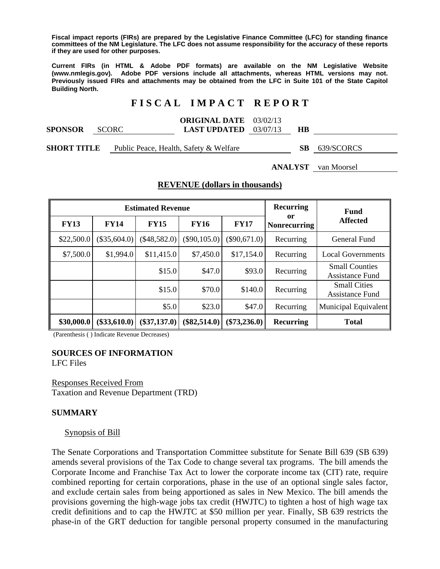**Fiscal impact reports (FIRs) are prepared by the Legislative Finance Committee (LFC) for standing finance committees of the NM Legislature. The LFC does not assume responsibility for the accuracy of these reports if they are used for other purposes.** 

**Current FIRs (in HTML & Adobe PDF formats) are available on the NM Legislative Website (www.nmlegis.gov). Adobe PDF versions include all attachments, whereas HTML versions may not. Previously issued FIRs and attachments may be obtained from the LFC in Suite 101 of the State Capitol Building North.**

## **F I S C A L I M P A C T R E P O R T**

|                |         | <b>ORIGINAL DATE</b> 03/02/13  |           |  |
|----------------|---------|--------------------------------|-----------|--|
| <b>SPONSOR</b> | – SCORC | <b>LAST UPDATED</b> $03/07/13$ | <b>HB</b> |  |
|                |         |                                |           |  |

| <b>SHORT TITLE</b><br>SB 639/SCORCS<br>Public Peace, Health, Safety & Welfare |
|-------------------------------------------------------------------------------|
|-------------------------------------------------------------------------------|

**ANALYST** van Moorsel

### **REVENUE (dollars in thousands)**

|             |                | <b>Estimated Revenue</b> |                |                | Recurring                 | <b>Fund</b>                              |
|-------------|----------------|--------------------------|----------------|----------------|---------------------------|------------------------------------------|
| <b>FY13</b> | <b>FY14</b>    | <b>FY15</b>              | <b>FY16</b>    | <b>FY17</b>    | or<br><b>Nonrecurring</b> | <b>Affected</b>                          |
| \$22,500.0  | (\$35,604.0)   | $(\$48,582.0)$           | $(\$90,105.0)$ | $(\$90,671.0)$ | Recurring                 | General Fund                             |
| \$7,500.0   | \$1,994.0      | \$11,415.0               | \$7,450.0      | \$17,154.0     | Recurring                 | <b>Local Governments</b>                 |
|             |                | \$15.0                   | \$47.0         | \$93.0         | Recurring                 | <b>Small Counties</b><br>Assistance Fund |
|             |                | \$15.0                   | \$70.0         | \$140.0        | Recurring                 | <b>Small Cities</b><br>Assistance Fund   |
|             |                | \$5.0                    | \$23.0         | \$47.0         | Recurring                 | Municipal Equivalent                     |
| \$30,000.0  | $(\$33,610.0)$ | $(\$37,137.0)$           | $(\$82,514.0)$ | $(\$73,236.0)$ | <b>Recurring</b>          | <b>Total</b>                             |

(Parenthesis ( ) Indicate Revenue Decreases)

## **SOURCES OF INFORMATION**

LFC Files

Responses Received From Taxation and Revenue Department (TRD)

### **SUMMARY**

### Synopsis of Bill

The Senate Corporations and Transportation Committee substitute for Senate Bill 639 (SB 639) amends several provisions of the Tax Code to change several tax programs. The bill amends the Corporate Income and Franchise Tax Act to lower the corporate income tax (CIT) rate, require combined reporting for certain corporations, phase in the use of an optional single sales factor, and exclude certain sales from being apportioned as sales in New Mexico. The bill amends the provisions governing the high-wage jobs tax credit (HWJTC) to tighten a host of high wage tax credit definitions and to cap the HWJTC at \$50 million per year. Finally, SB 639 restricts the phase-in of the GRT deduction for tangible personal property consumed in the manufacturing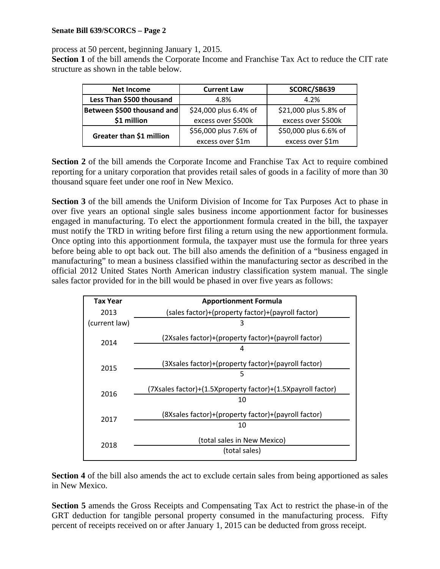process at 50 percent, beginning January 1, 2015.

**Section 1** of the bill amends the Corporate Income and Franchise Tax Act to reduce the CIT rate structure as shown in the table below.

| Net Income                 | <b>Current Law</b>    | SCORC/SB639           |
|----------------------------|-----------------------|-----------------------|
| Less Than \$500 thousand   | 4.8%                  | 4.2%                  |
| Between \$500 thousand and | \$24,000 plus 6.4% of | \$21,000 plus 5.8% of |
| \$1 million                | excess over \$500k    | excess over \$500k    |
|                            | \$56,000 plus 7.6% of | \$50,000 plus 6.6% of |
| Greater than \$1 million   | excess over \$1m      | excess over \$1m      |

**Section 2** of the bill amends the Corporate Income and Franchise Tax Act to require combined reporting for a unitary corporation that provides retail sales of goods in a facility of more than 30 thousand square feet under one roof in New Mexico.

**Section 3** of the bill amends the Uniform Division of Income for Tax Purposes Act to phase in over five years an optional single sales business income apportionment factor for businesses engaged in manufacturing. To elect the apportionment formula created in the bill, the taxpayer must notify the TRD in writing before first filing a return using the new apportionment formula. Once opting into this apportionment formula, the taxpayer must use the formula for three years before being able to opt back out. The bill also amends the definition of a "business engaged in manufacturing" to mean a business classified within the manufacturing sector as described in the official 2012 United States North American industry classification system manual. The single sales factor provided for in the bill would be phased in over five years as follows:

| (7X sales factor) + (1.5X property factor) + (1.5X payroll factor) |
|--------------------------------------------------------------------|
|                                                                    |
|                                                                    |
|                                                                    |
|                                                                    |
|                                                                    |
|                                                                    |

**Section 4** of the bill also amends the act to exclude certain sales from being apportioned as sales in New Mexico.

**Section 5** amends the Gross Receipts and Compensating Tax Act to restrict the phase-in of the GRT deduction for tangible personal property consumed in the manufacturing process. Fifty percent of receipts received on or after January 1, 2015 can be deducted from gross receipt.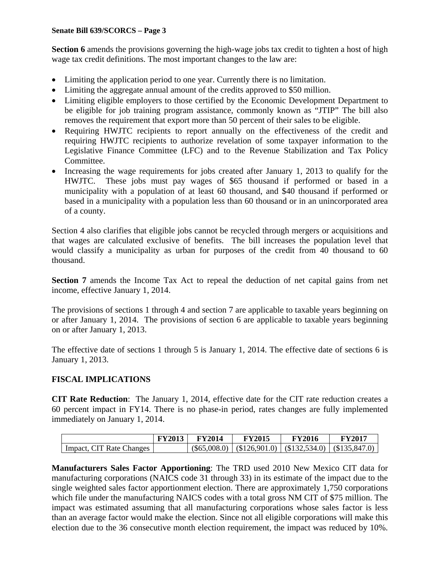**Section 6** amends the provisions governing the high-wage jobs tax credit to tighten a host of high wage tax credit definitions. The most important changes to the law are:

- Limiting the application period to one year. Currently there is no limitation.
- Limiting the aggregate annual amount of the credits approved to \$50 million.
- Limiting eligible employers to those certified by the Economic Development Department to be eligible for job training program assistance, commonly known as "JTIP" The bill also removes the requirement that export more than 50 percent of their sales to be eligible.
- Requiring HWJTC recipients to report annually on the effectiveness of the credit and requiring HWJTC recipients to authorize revelation of some taxpayer information to the Legislative Finance Committee (LFC) and to the Revenue Stabilization and Tax Policy Committee.
- Increasing the wage requirements for jobs created after January 1, 2013 to qualify for the HWJTC. These jobs must pay wages of \$65 thousand if performed or based in a municipality with a population of at least 60 thousand, and \$40 thousand if performed or based in a municipality with a population less than 60 thousand or in an unincorporated area of a county.

Section 4 also clarifies that eligible jobs cannot be recycled through mergers or acquisitions and that wages are calculated exclusive of benefits. The bill increases the population level that would classify a municipality as urban for purposes of the credit from 40 thousand to 60 thousand.

**Section 7** amends the Income Tax Act to repeal the deduction of net capital gains from net income, effective January 1, 2014.

The provisions of sections 1 through 4 and section 7 are applicable to taxable years beginning on or after January 1, 2014. The provisions of section 6 are applicable to taxable years beginning on or after January 1, 2013.

The effective date of sections 1 through 5 is January 1, 2014. The effective date of sections 6 is January 1, 2013.

### **FISCAL IMPLICATIONS**

**CIT Rate Reduction**: The January 1, 2014, effective date for the CIT rate reduction creates a 60 percent impact in FY14. There is no phase-in period, rates changes are fully implemented immediately on January 1, 2014.

|                          | <b>FY2013</b> | <b>FY2014</b> | <b>FY2015</b>                                                  | FY2016 | <b>FY2017</b> |
|--------------------------|---------------|---------------|----------------------------------------------------------------|--------|---------------|
| Impact, CIT Rate Changes |               |               | $(\$65,008.0)$ $(\$126,901.0)$ $(\$132,534.0)$ $(\$135,847.0)$ |        |               |

**Manufacturers Sales Factor Apportioning**: The TRD used 2010 New Mexico CIT data for manufacturing corporations (NAICS code 31 through 33) in its estimate of the impact due to the single weighted sales factor apportionment election. There are approximately 1,750 corporations which file under the manufacturing NAICS codes with a total gross NM CIT of \$75 million. The impact was estimated assuming that all manufacturing corporations whose sales factor is less than an average factor would make the election. Since not all eligible corporations will make this election due to the 36 consecutive month election requirement, the impact was reduced by 10%.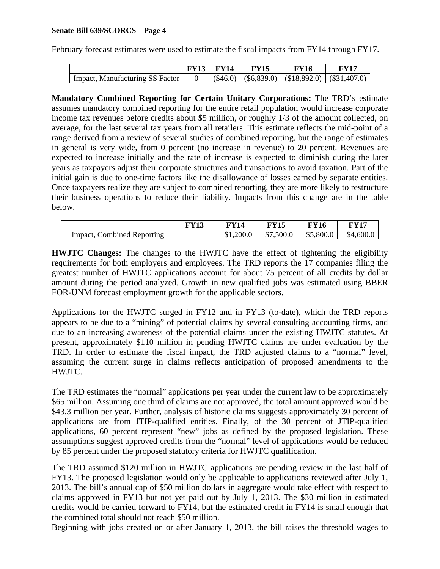February forecast estimates were used to estimate the fiscal impacts from FY14 through FY17.

|                                 | $FY13$ FY14 | <b>FY15</b> | FY16                                                   | FY17 |
|---------------------------------|-------------|-------------|--------------------------------------------------------|------|
| Impact, Manufacturing SS Factor |             |             | $(\$46.0)$ $(\$6,839.0)$ $(\$18,892.0)$ $(\$31,407.0)$ |      |

**Mandatory Combined Reporting for Certain Unitary Corporations:** The TRD's estimate assumes mandatory combined reporting for the entire retail population would increase corporate income tax revenues before credits about \$5 million, or roughly 1/3 of the amount collected, on average, for the last several tax years from all retailers. This estimate reflects the mid-point of a range derived from a review of several studies of combined reporting, but the range of estimates in general is very wide, from 0 percent (no increase in revenue) to 20 percent. Revenues are expected to increase initially and the rate of increase is expected to diminish during the later years as taxpayers adjust their corporate structures and transactions to avoid taxation. Part of the initial gain is due to one-time factors like the disallowance of losses earned by separate entities. Once taxpayers realize they are subject to combined reporting, they are more likely to restructure their business operations to reduce their liability. Impacts from this change are in the table below.

|                               | DV714 |           | <sup>-</sup> Y15         | 10        | TV15      |
|-------------------------------|-------|-----------|--------------------------|-----------|-----------|
| Combined Reporting<br>Impact. |       | \$1,200.0 | \$7,500.0<br>$\triangle$ | \$5,800.0 | \$4,600.0 |

**HWJTC Changes:** The changes to the HWJTC have the effect of tightening the eligibility requirements for both employers and employees. The TRD reports the 17 companies filing the greatest number of HWJTC applications account for about 75 percent of all credits by dollar amount during the period analyzed. Growth in new qualified jobs was estimated using BBER FOR-UNM forecast employment growth for the applicable sectors.

Applications for the HWJTC surged in FY12 and in FY13 (to-date), which the TRD reports appears to be due to a "mining" of potential claims by several consulting accounting firms, and due to an increasing awareness of the potential claims under the existing HWJTC statutes. At present, approximately \$110 million in pending HWJTC claims are under evaluation by the TRD. In order to estimate the fiscal impact, the TRD adjusted claims to a "normal" level, assuming the current surge in claims reflects anticipation of proposed amendments to the HWJTC.

The TRD estimates the "normal" applications per year under the current law to be approximately \$65 million. Assuming one third of claims are not approved, the total amount approved would be \$43.3 million per year. Further, analysis of historic claims suggests approximately 30 percent of applications are from JTIP-qualified entities. Finally, of the 30 percent of JTIP-qualified applications, 60 percent represent "new" jobs as defined by the proposed legislation. These assumptions suggest approved credits from the "normal" level of applications would be reduced by 85 percent under the proposed statutory criteria for HWJTC qualification.

The TRD assumed \$120 million in HWJTC applications are pending review in the last half of FY13. The proposed legislation would only be applicable to applications reviewed after July 1, 2013. The bill's annual cap of \$50 million dollars in aggregate would take effect with respect to claims approved in FY13 but not yet paid out by July 1, 2013. The \$30 million in estimated credits would be carried forward to FY14, but the estimated credit in FY14 is small enough that the combined total should not reach \$50 million.

Beginning with jobs created on or after January 1, 2013, the bill raises the threshold wages to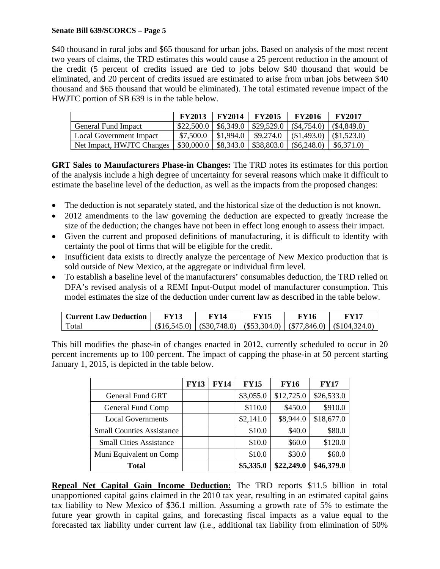\$40 thousand in rural jobs and \$65 thousand for urban jobs. Based on analysis of the most recent two years of claims, the TRD estimates this would cause a 25 percent reduction in the amount of the credit (5 percent of credits issued are tied to jobs below \$40 thousand that would be eliminated, and 20 percent of credits issued are estimated to arise from urban jobs between \$40 thousand and \$65 thousand that would be eliminated). The total estimated revenue impact of the HWJTC portion of SB 639 is in the table below.

|                            | <b>FY2013</b> | <b>FY2014</b> | <b>FY2015</b>              | <b>FY2016</b> | <b>FY2017</b> |
|----------------------------|---------------|---------------|----------------------------|---------------|---------------|
| <b>General Fund Impact</b> | \$22,500.0    |               | $$6,349.0 \; \; $29,529.0$ | $(\$4,754.0)$ | $(\$4,849.0)$ |
| Local Government Impact    | \$7,500.0     | \$1,994.0     | \$9,274.0                  | (\$1,493.0)   | (\$1,523.0)   |
| Net Impact, HWJTC Changes  | \$30,000.0    | \$8,343.0     | \$38,803.0                 | $(\$6,248.0)$ | \$6,371.0     |

**GRT Sales to Manufacturers Phase-in Changes:** The TRD notes its estimates for this portion of the analysis include a high degree of uncertainty for several reasons which make it difficult to estimate the baseline level of the deduction, as well as the impacts from the proposed changes:

- The deduction is not separately stated, and the historical size of the deduction is not known.
- 2012 amendments to the law governing the deduction are expected to greatly increase the size of the deduction; the changes have not been in effect long enough to assess their impact.
- Given the current and proposed definitions of manufacturing, it is difficult to identify with certainty the pool of firms that will be eligible for the credit.
- Insufficient data exists to directly analyze the percentage of New Mexico production that is sold outside of New Mexico, at the aggregate or individual firm level.
- To establish a baseline level of the manufacturers' consumables deduction, the TRD relied on DFA's revised analysis of a REMI Input-Output model of manufacturer consumption. This model estimates the size of the deduction under current law as described in the table below.

| <b>Current Law Deduction</b> | FY13 | FY14 | FY15 | <b>FY16</b> | FY17                                                                        |
|------------------------------|------|------|------|-------------|-----------------------------------------------------------------------------|
| Total                        |      |      |      |             | $(\$16,545.0)$ $(\$30,748.0)$ $(\$53,304.0)$ $(\$77,846.0)$ $(\$104,324.0)$ |

This bill modifies the phase-in of changes enacted in 2012, currently scheduled to occur in 20 percent increments up to 100 percent. The impact of capping the phase-in at 50 percent starting January 1, 2015, is depicted in the table below.

|                                  | <b>FY13</b> | <b>FY14</b> | <b>FY15</b> | <b>FY16</b> | <b>FY17</b> |
|----------------------------------|-------------|-------------|-------------|-------------|-------------|
| <b>General Fund GRT</b>          |             |             | \$3,055.0   | \$12,725.0  | \$26,533.0  |
| General Fund Comp                |             |             | \$110.0     | \$450.0     | \$910.0     |
| <b>Local Governments</b>         |             |             | \$2,141.0   | \$8,944.0   | \$18,677.0  |
| <b>Small Counties Assistance</b> |             |             | \$10.0      | \$40.0      | \$80.0      |
| <b>Small Cities Assistance</b>   |             |             | \$10.0      | \$60.0      | \$120.0     |
| Muni Equivalent on Comp          |             |             | \$10.0      | \$30.0      | \$60.0      |
| <b>Total</b>                     |             |             | \$5,335.0   | \$22,249.0  | \$46,379.0  |

**Repeal Net Capital Gain Income Deduction:** The TRD reports \$11.5 billion in total unapportioned capital gains claimed in the 2010 tax year, resulting in an estimated capital gains tax liability to New Mexico of \$36.1 million. Assuming a growth rate of 5% to estimate the future year growth in capital gains, and forecasting fiscal impacts as a value equal to the forecasted tax liability under current law (i.e., additional tax liability from elimination of 50%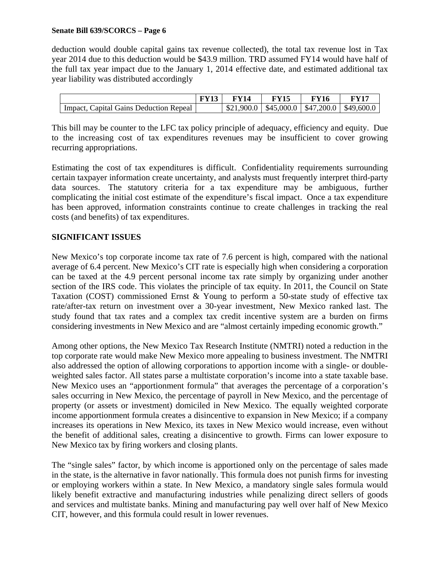deduction would double capital gains tax revenue collected), the total tax revenue lost in Tax year 2014 due to this deduction would be \$43.9 million. TRD assumed FY14 would have half of the full tax year impact due to the January 1, 2014 effective date, and estimated additional tax year liability was distributed accordingly

|                                                     | FY 14 | FY16                                               | $\nabla \mathbf{V}$ 17 |
|-----------------------------------------------------|-------|----------------------------------------------------|------------------------|
| <sup>1</sup> Impact, Capital Gains Deduction Repeal |       | $$21,900.0$   \$45,000.0   \$47,200.0   \$49,600.0 |                        |

This bill may be counter to the LFC tax policy principle of adequacy, efficiency and equity. Due to the increasing cost of tax expenditures revenues may be insufficient to cover growing recurring appropriations.

Estimating the cost of tax expenditures is difficult. Confidentiality requirements surrounding certain taxpayer information create uncertainty, and analysts must frequently interpret third-party data sources. The statutory criteria for a tax expenditure may be ambiguous, further complicating the initial cost estimate of the expenditure's fiscal impact. Once a tax expenditure has been approved, information constraints continue to create challenges in tracking the real costs (and benefits) of tax expenditures.

### **SIGNIFICANT ISSUES**

New Mexico's top corporate income tax rate of 7.6 percent is high, compared with the national average of 6.4 percent. New Mexico's CIT rate is especially high when considering a corporation can be taxed at the 4.9 percent personal income tax rate simply by organizing under another section of the IRS code. This violates the principle of tax equity. In 2011, the Council on State Taxation (COST) commissioned Ernst & Young to perform a 50-state study of effective tax rate/after-tax return on investment over a 30-year investment, New Mexico ranked last. The study found that tax rates and a complex tax credit incentive system are a burden on firms considering investments in New Mexico and are "almost certainly impeding economic growth."

Among other options, the New Mexico Tax Research Institute (NMTRI) noted a reduction in the top corporate rate would make New Mexico more appealing to business investment. The NMTRI also addressed the option of allowing corporations to apportion income with a single- or doubleweighted sales factor. All states parse a multistate corporation's income into a state taxable base. New Mexico uses an "apportionment formula" that averages the percentage of a corporation's sales occurring in New Mexico, the percentage of payroll in New Mexico, and the percentage of property (or assets or investment) domiciled in New Mexico. The equally weighted corporate income apportionment formula creates a disincentive to expansion in New Mexico; if a company increases its operations in New Mexico, its taxes in New Mexico would increase, even without the benefit of additional sales, creating a disincentive to growth. Firms can lower exposure to New Mexico tax by firing workers and closing plants.

The "single sales" factor, by which income is apportioned only on the percentage of sales made in the state, is the alternative in favor nationally. This formula does not punish firms for investing or employing workers within a state. In New Mexico, a mandatory single sales formula would likely benefit extractive and manufacturing industries while penalizing direct sellers of goods and services and multistate banks. Mining and manufacturing pay well over half of New Mexico CIT, however, and this formula could result in lower revenues.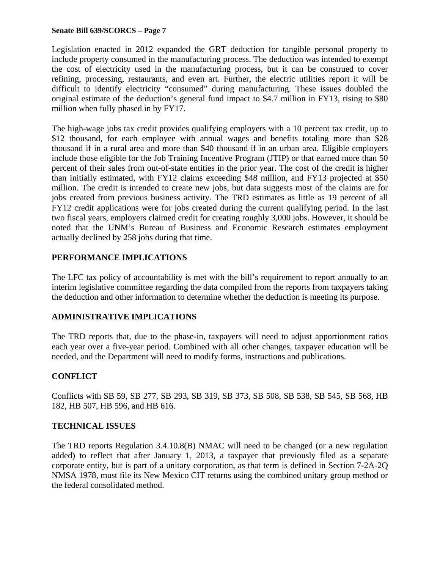Legislation enacted in 2012 expanded the GRT deduction for tangible personal property to include property consumed in the manufacturing process. The deduction was intended to exempt the cost of electricity used in the manufacturing process, but it can be construed to cover refining, processing, restaurants, and even art. Further, the electric utilities report it will be difficult to identify electricity "consumed" during manufacturing. These issues doubled the original estimate of the deduction's general fund impact to \$4.7 million in FY13, rising to \$80 million when fully phased in by FY17.

The high-wage jobs tax credit provides qualifying employers with a 10 percent tax credit, up to \$12 thousand, for each employee with annual wages and benefits totaling more than \$28 thousand if in a rural area and more than \$40 thousand if in an urban area. Eligible employers include those eligible for the Job Training Incentive Program (JTIP) or that earned more than 50 percent of their sales from out-of-state entities in the prior year. The cost of the credit is higher than initially estimated, with FY12 claims exceeding \$48 million, and FY13 projected at \$50 million. The credit is intended to create new jobs, but data suggests most of the claims are for jobs created from previous business activity. The TRD estimates as little as 19 percent of all FY12 credit applications were for jobs created during the current qualifying period. In the last two fiscal years, employers claimed credit for creating roughly 3,000 jobs. However, it should be noted that the UNM's Bureau of Business and Economic Research estimates employment actually declined by 258 jobs during that time.

## **PERFORMANCE IMPLICATIONS**

The LFC tax policy of accountability is met with the bill's requirement to report annually to an interim legislative committee regarding the data compiled from the reports from taxpayers taking the deduction and other information to determine whether the deduction is meeting its purpose.

## **ADMINISTRATIVE IMPLICATIONS**

The TRD reports that, due to the phase-in, taxpayers will need to adjust apportionment ratios each year over a five-year period. Combined with all other changes, taxpayer education will be needed, and the Department will need to modify forms, instructions and publications.

# **CONFLICT**

Conflicts with SB 59, SB 277, SB 293, SB 319, SB 373, SB 508, SB 538, SB 545, SB 568, HB 182, HB 507, HB 596, and HB 616.

## **TECHNICAL ISSUES**

The TRD reports Regulation 3.4.10.8(B) NMAC will need to be changed (or a new regulation added) to reflect that after January 1, 2013, a taxpayer that previously filed as a separate corporate entity, but is part of a unitary corporation, as that term is defined in Section 7-2A-2Q NMSA 1978, must file its New Mexico CIT returns using the combined unitary group method or the federal consolidated method.